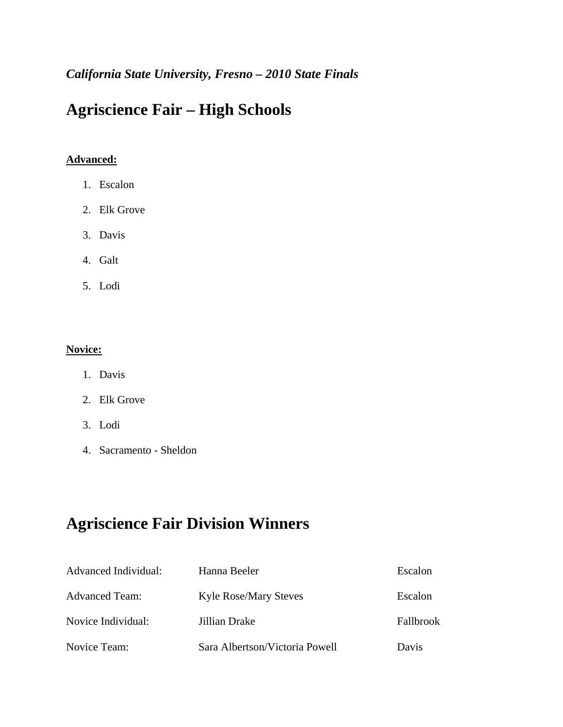### *California State University, Fresno – 2010 State Finals*

## **Agriscience Fair – High Schools**

#### **Advanced:**

- 1. Escalon
- 2. Elk Grove
- 3. Davis
- 4. Galt
- 5. Lodi

#### **Novice:**

- 1. Davis
- 2. Elk Grove
- 3. Lodi
- 4. Sacramento Sheldon

### **Agriscience Fair Division Winners**

| Advanced Individual:  | Hanna Beeler                   | Escalon   |
|-----------------------|--------------------------------|-----------|
| <b>Advanced Team:</b> | <b>Kyle Rose/Mary Steves</b>   | Escalon   |
| Novice Individual:    | Jillian Drake                  | Fallbrook |
| Novice Team:          | Sara Albertson/Victoria Powell | Davis     |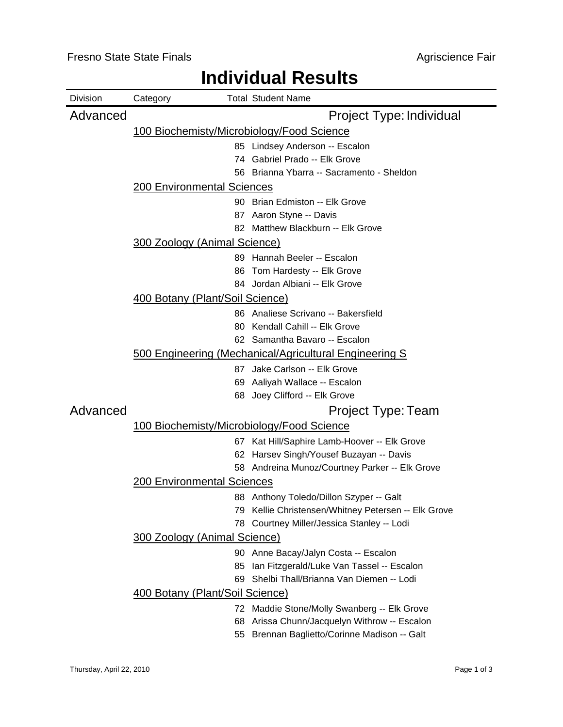#### Division Category **Total Student Name** Advanced **Project Type: Individual** 100 Biochemisty/Microbiology/Food Science 85 Lindsey Anderson -- Escalon 74 Gabriel Prado -- Elk Grove 56 Brianna Ybarra -- Sacramento - Sheldon 200 Environmental Sciences 90 Brian Edmiston -- Elk Grove 87 Aaron Styne -- Davis 82 Matthew Blackburn -- Elk Grove 300 Zoology (Animal Science) 89 Hannah Beeler -- Escalon 86 Tom Hardesty -- Elk Grove 84 Jordan Albiani -- Elk Grove 400 Botany (Plant/Soil Science) 86 Analiese Scrivano -- Bakersfield 80 Kendall Cahill -- Elk Grove 62 Samantha Bavaro -- Escalon 500 Engineering (Mechanical/Agricultural Engineering S 87 Jake Carlson -- Elk Grove 69 Aaliyah Wallace -- Escalon 68 Joey Clifford -- Elk Grove Advanced **Project Type: Team** 100 Biochemisty/Microbiology/Food Science 67 Kat Hill/Saphire Lamb-Hoover -- Elk Grove 62 Harsev Singh/Yousef Buzayan -- Davis 58 Andreina Munoz/Courtney Parker -- Elk Grove 200 Environmental Sciences 88 Anthony Toledo/Dillon Szyper -- Galt 79 Kellie Christensen/Whitney Petersen -- Elk Grove 78 Courtney Miller/Jessica Stanley -- Lodi 300 Zoology (Animal Science) 90 Anne Bacay/Jalyn Costa -- Escalon 85 Ian Fitzgerald/Luke Van Tassel -- Escalon 69 Shelbi Thall/Brianna Van Diemen -- Lodi 400 Botany (Plant/Soil Science) 72 Maddie Stone/Molly Swanberg -- Elk Grove 68 Arissa Chunn/Jacquelyn Withrow -- Escalon 55 Brennan Baglietto/Corinne Madison -- Galt

### **Individual Results**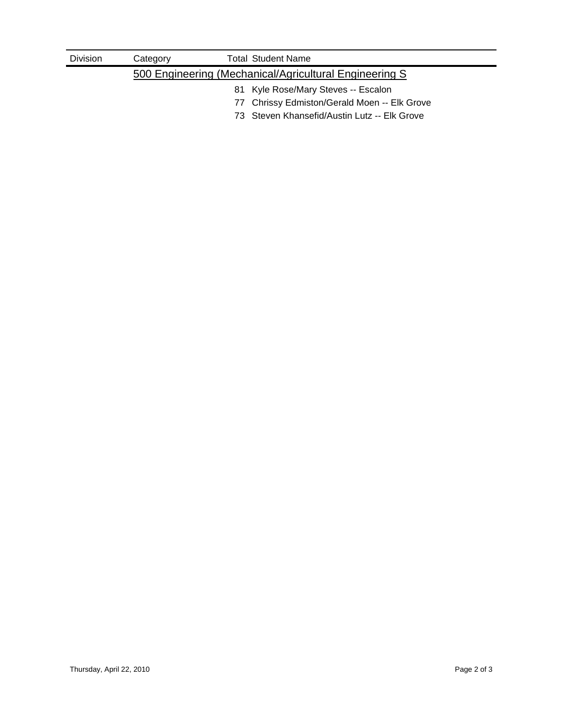| <b>Division</b> | Category                            | <b>Total Student Name</b>                               |  |  |  |  |
|-----------------|-------------------------------------|---------------------------------------------------------|--|--|--|--|
|                 |                                     | 500 Engineering (Mechanical/Agricultural Engineering S) |  |  |  |  |
|                 | 81 Kyle Rose/Mary Steves -- Escalon |                                                         |  |  |  |  |
|                 |                                     | 77 Chrissy Edmiston/Gerald Moen -- Elk Grove            |  |  |  |  |
|                 |                                     | 73 Steven Khansefid/Austin Lutz -- Elk Grove            |  |  |  |  |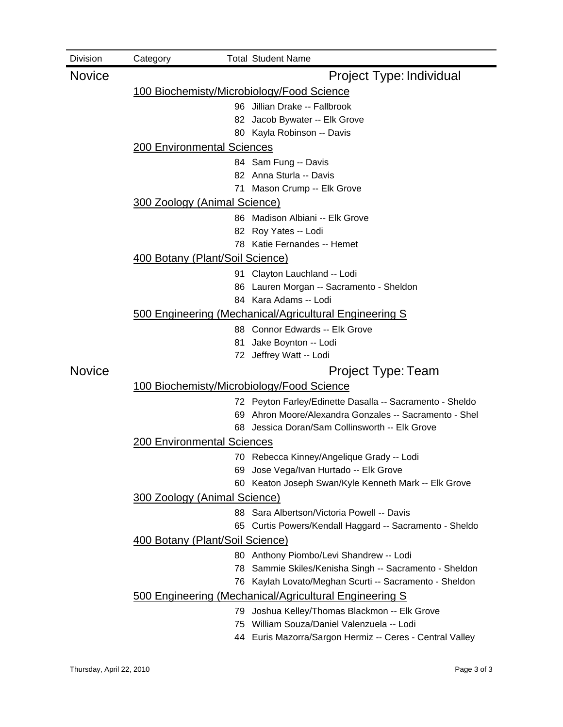| <b>Division</b> | Category                                  |    | <b>Total Student Name</b>                                |  |  |  |  |  |
|-----------------|-------------------------------------------|----|----------------------------------------------------------|--|--|--|--|--|
| <b>Novice</b>   |                                           |    | Project Type: Individual                                 |  |  |  |  |  |
|                 | 100 Biochemisty/Microbiology/Food Science |    |                                                          |  |  |  |  |  |
|                 |                                           |    | 96 Jillian Drake -- Fallbrook                            |  |  |  |  |  |
|                 |                                           |    | 82 Jacob Bywater -- Elk Grove                            |  |  |  |  |  |
|                 |                                           |    | 80 Kayla Robinson -- Davis                               |  |  |  |  |  |
|                 | <b>200 Environmental Sciences</b>         |    |                                                          |  |  |  |  |  |
|                 |                                           |    | 84 Sam Fung -- Davis                                     |  |  |  |  |  |
|                 |                                           |    | 82 Anna Sturla -- Davis                                  |  |  |  |  |  |
|                 |                                           |    | 71 Mason Crump -- Elk Grove                              |  |  |  |  |  |
|                 | <b>300 Zoology (Animal Science)</b>       |    |                                                          |  |  |  |  |  |
|                 |                                           |    | 86 Madison Albiani -- Elk Grove                          |  |  |  |  |  |
|                 |                                           |    | 82 Roy Yates -- Lodi                                     |  |  |  |  |  |
|                 |                                           |    | 78 Katie Fernandes -- Hemet                              |  |  |  |  |  |
|                 | 400 Botany (Plant/Soil Science)           |    |                                                          |  |  |  |  |  |
|                 |                                           |    | 91 Clayton Lauchland -- Lodi                             |  |  |  |  |  |
|                 |                                           |    | 86 Lauren Morgan -- Sacramento - Sheldon                 |  |  |  |  |  |
|                 |                                           |    | 84 Kara Adams -- Lodi                                    |  |  |  |  |  |
|                 |                                           |    | 500 Engineering (Mechanical/Agricultural Engineering S   |  |  |  |  |  |
|                 |                                           |    | 88 Connor Edwards -- Elk Grove                           |  |  |  |  |  |
|                 |                                           | 81 | Jake Boynton -- Lodi                                     |  |  |  |  |  |
|                 |                                           |    | 72 Jeffrey Watt -- Lodi                                  |  |  |  |  |  |
| <b>Novice</b>   |                                           |    | Project Type: Team                                       |  |  |  |  |  |
|                 |                                           |    | 100 Biochemisty/Microbiology/Food Science                |  |  |  |  |  |
|                 |                                           |    | 72 Peyton Farley/Edinette Dasalla -- Sacramento - Sheldo |  |  |  |  |  |
|                 |                                           |    | 69 Ahron Moore/Alexandra Gonzales -- Sacramento - Shel   |  |  |  |  |  |
|                 |                                           |    | 68 Jessica Doran/Sam Collinsworth -- Elk Grove           |  |  |  |  |  |
|                 | <b>200 Environmental Sciences</b>         |    |                                                          |  |  |  |  |  |
|                 |                                           |    | 70 Rebecca Kinney/Angelique Grady -- Lodi                |  |  |  |  |  |
|                 |                                           |    | 69 Jose Vega/Ivan Hurtado -- Elk Grove                   |  |  |  |  |  |
|                 |                                           |    | 60 Keaton Joseph Swan/Kyle Kenneth Mark -- Elk Grove     |  |  |  |  |  |
|                 | 300 Zoology (Animal Science)              |    |                                                          |  |  |  |  |  |
|                 |                                           |    | 88 Sara Albertson/Victoria Powell -- Davis               |  |  |  |  |  |
|                 |                                           |    | 65 Curtis Powers/Kendall Haggard -- Sacramento - Sheldo  |  |  |  |  |  |
|                 | 400 Botany (Plant/Soil Science)           |    |                                                          |  |  |  |  |  |
|                 |                                           |    | 80 Anthony Piombo/Levi Shandrew -- Lodi                  |  |  |  |  |  |
|                 |                                           | 78 | Sammie Skiles/Kenisha Singh -- Sacramento - Sheldon      |  |  |  |  |  |
|                 |                                           | 76 | Kaylah Lovato/Meghan Scurti -- Sacramento - Sheldon      |  |  |  |  |  |
|                 |                                           |    | 500 Engineering (Mechanical/Agricultural Engineering S   |  |  |  |  |  |
|                 |                                           |    | 79 Joshua Kelley/Thomas Blackmon -- Elk Grove            |  |  |  |  |  |
|                 |                                           |    | 75 William Souza/Daniel Valenzuela -- Lodi               |  |  |  |  |  |

44 Euris Mazorra/Sargon Hermiz -- Ceres - Central Valley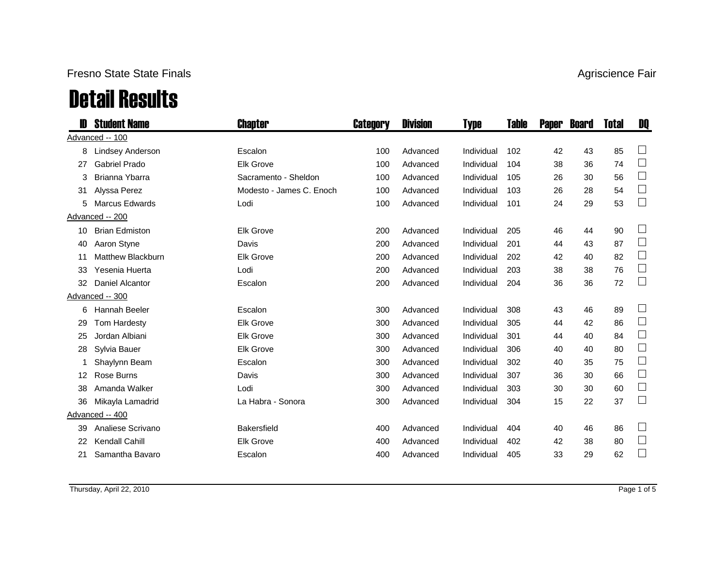### Fresno State State Finals

# Detail Results

|    | <b>Student Name</b>    | Chapter                  | <b>Category</b> | <b>Division</b> | <b>Type</b> | Table | <b>Paper</b> | <b>Board</b> | <b>Total</b> | DQ            |
|----|------------------------|--------------------------|-----------------|-----------------|-------------|-------|--------------|--------------|--------------|---------------|
|    | Advanced -- 100        |                          |                 |                 |             |       |              |              |              |               |
| 8  | Lindsey Anderson       | Escalon                  | 100             | Advanced        | Individual  | 102   | 42           | 43           | 85           |               |
| 27 | <b>Gabriel Prado</b>   | <b>Elk Grove</b>         | 100             | Advanced        | Individual  | 104   | 38           | 36           | 74           | $\Box$        |
| 3  | Brianna Ybarra         | Sacramento - Sheldon     | 100             | Advanced        | Individual  | 105   | 26           | 30           | 56           | $\Box$        |
| 31 | Alyssa Perez           | Modesto - James C. Enoch | 100             | Advanced        | Individual  | 103   | 26           | 28           | 54           | $\Box$        |
| 5  | <b>Marcus Edwards</b>  | Lodi                     | 100             | Advanced        | Individual  | 101   | 24           | 29           | 53           | $\Box$        |
|    | Advanced -- 200        |                          |                 |                 |             |       |              |              |              |               |
| 10 | <b>Brian Edmiston</b>  | <b>Elk Grove</b>         | 200             | Advanced        | Individual  | 205   | 46           | 44           | 90           | $\frac{1}{2}$ |
| 40 | Aaron Styne            | Davis                    | 200             | Advanced        | Individual  | 201   | 44           | 43           | 87           | $\Box$        |
| 11 | Matthew Blackburn      | <b>Elk Grove</b>         | 200             | Advanced        | Individual  | 202   | 42           | 40           | 82           | $\Box$        |
| 33 | Yesenia Huerta         | Lodi                     | 200             | Advanced        | Individual  | 203   | 38           | 38           | 76           | $\Box$        |
| 32 | <b>Daniel Alcantor</b> | Escalon                  | 200             | Advanced        | Individual  | 204   | 36           | 36           | 72           | $\Box$        |
|    | Advanced -- 300        |                          |                 |                 |             |       |              |              |              |               |
| 6  | Hannah Beeler          | Escalon                  | 300             | Advanced        | Individual  | 308   | 43           | 46           | 89           | $\Box$        |
| 29 | <b>Tom Hardesty</b>    | <b>Elk Grove</b>         | 300             | Advanced        | Individual  | 305   | 44           | 42           | 86           | $\Box$        |
| 25 | Jordan Albiani         | <b>Elk Grove</b>         | 300             | Advanced        | Individual  | 301   | 44           | 40           | 84           | $\Box$        |
| 28 | Sylvia Bauer           | <b>Elk Grove</b>         | 300             | Advanced        | Individual  | 306   | 40           | 40           | 80           | $\Box$        |
| 1  | Shaylynn Beam          | Escalon                  | 300             | Advanced        | Individual  | 302   | 40           | 35           | 75           | $\Box$        |
| 12 | Rose Burns             | Davis                    | 300             | Advanced        | Individual  | 307   | 36           | 30           | 66           | $\Box$        |
| 38 | Amanda Walker          | Lodi                     | 300             | Advanced        | Individual  | 303   | 30           | 30           | 60           | $\Box$        |
| 36 | Mikayla Lamadrid       | La Habra - Sonora        | 300             | Advanced        | Individual  | 304   | 15           | 22           | 37           | $\Box$        |
|    | Advanced -- 400        |                          |                 |                 |             |       |              |              |              |               |
| 39 | Analiese Scrivano      | <b>Bakersfield</b>       | 400             | Advanced        | Individual  | 404   | 40           | 46           | 86           | $\Box$        |
| 22 | Kendall Cahill         | <b>Elk Grove</b>         | 400             | Advanced        | Individual  | 402   | 42           | 38           | 80           | $\Box$        |
| 21 | Samantha Bavaro        | Escalon                  | 400             | Advanced        | Individual  | 405   | 33           | 29           | 62           |               |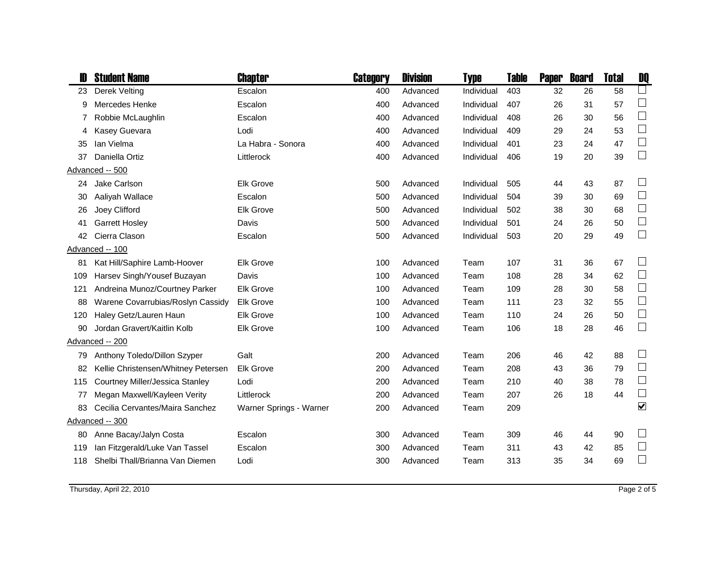|     | <b>Student Name</b>                 | <b>Chapter</b>          | Category | <b>Division</b> | Type       | Table | <b>Paper</b> | <b>Board</b> | <b>Total</b> | DQ                          |
|-----|-------------------------------------|-------------------------|----------|-----------------|------------|-------|--------------|--------------|--------------|-----------------------------|
| 23  | Derek Velting                       | Escalon                 | 400      | Advanced        | Individual | 403   | 32           | 26           | 58           |                             |
| 9   | Mercedes Henke                      | Escalon                 | 400      | Advanced        | Individual | 407   | 26           | 31           | 57           | $\Box$                      |
| 7   | Robbie McLaughlin                   | Escalon                 | 400      | Advanced        | Individual | 408   | 26           | 30           | 56           | $\Box$                      |
| 4   | Kasey Guevara                       | Lodi                    | 400      | Advanced        | Individual | 409   | 29           | 24           | 53           | $\Box$                      |
| 35  | Ian Vielma                          | La Habra - Sonora       | 400      | Advanced        | Individual | 401   | 23           | 24           | 47           | $\Box$                      |
| 37  | Daniella Ortiz                      | Littlerock              | 400      | Advanced        | Individual | 406   | 19           | 20           | 39           | $\Box$                      |
|     | Advanced -- 500                     |                         |          |                 |            |       |              |              |              |                             |
|     | 24 Jake Carlson                     | <b>Elk Grove</b>        | 500      | Advanced        | Individual | 505   | 44           | 43           | 87           | $\Box$                      |
| 30  | Aaliyah Wallace                     | Escalon                 | 500      | Advanced        | Individual | 504   | 39           | 30           | 69           | $\Box$                      |
| 26  | Joey Clifford                       | <b>Elk Grove</b>        | 500      | Advanced        | Individual | 502   | 38           | 30           | 68           | $\Box$                      |
| 41  | <b>Garrett Hosley</b>               | Davis                   | 500      | Advanced        | Individual | 501   | 24           | 26           | 50           | $\Box$                      |
| 42  | Cierra Clason                       | Escalon                 | 500      | Advanced        | Individual | 503   | 20           | 29           | 49           | $\mathcal{L}_{\mathcal{A}}$ |
|     | Advanced -- 100                     |                         |          |                 |            |       |              |              |              |                             |
| 81  | Kat Hill/Saphire Lamb-Hoover        | <b>Elk Grove</b>        | 100      | Advanced        | Team       | 107   | 31           | 36           | 67           | $\sqcup$                    |
| 109 | Harsev Singh/Yousef Buzayan         | Davis                   | 100      | Advanced        | Team       | 108   | 28           | 34           | 62           | $\Box$                      |
| 121 | Andreina Munoz/Courtney Parker      | <b>Elk Grove</b>        | 100      | Advanced        | Team       | 109   | 28           | 30           | 58           | $\Box$                      |
| 88  | Warene Covarrubias/Roslyn Cassidy   | <b>Elk Grove</b>        | 100      | Advanced        | Team       | 111   | 23           | 32           | 55           | $\Box$                      |
| 120 | Haley Getz/Lauren Haun              | <b>Elk Grove</b>        | 100      | Advanced        | Team       | 110   | 24           | 26           | 50           | $\Box$                      |
| 90  | Jordan Gravert/Kaitlin Kolb         | <b>Elk Grove</b>        | 100      | Advanced        | Team       | 106   | 18           | 28           | 46           | $\Box$                      |
|     | Advanced -- 200                     |                         |          |                 |            |       |              |              |              |                             |
| 79  | Anthony Toledo/Dillon Szyper        | Galt                    | 200      | Advanced        | Team       | 206   | 46           | 42           | 88           |                             |
| 82  | Kellie Christensen/Whitney Petersen | <b>Elk Grove</b>        | 200      | Advanced        | Team       | 208   | 43           | 36           | 79           | $\Box$                      |
| 115 | Courtney Miller/Jessica Stanley     | Lodi                    | 200      | Advanced        | Team       | 210   | 40           | 38           | 78           | $\Box$                      |
| 77  | Megan Maxwell/Kayleen Verity        | Littlerock              | 200      | Advanced        | Team       | 207   | 26           | 18           | 44           | $\Box$                      |
| 83  | Cecilia Cervantes/Maira Sanchez     | Warner Springs - Warner | 200      | Advanced        | Team       | 209   |              |              |              | $\overline{\mathbf{v}}$     |
|     | Advanced -- 300                     |                         |          |                 |            |       |              |              |              |                             |
| 80  | Anne Bacay/Jalyn Costa              | Escalon                 | 300      | Advanced        | Team       | 309   | 46           | 44           | 90           | $\Box$                      |
| 119 | Ian Fitzgerald/Luke Van Tassel      | Escalon                 | 300      | Advanced        | Team       | 311   | 43           | 42           | 85           | $\Box$                      |
| 118 | Shelbi Thall/Brianna Van Diemen     | Lodi                    | 300      | Advanced        | Team       | 313   | 35           | 34           | 69           | $\mathcal{L}_{\mathcal{A}}$ |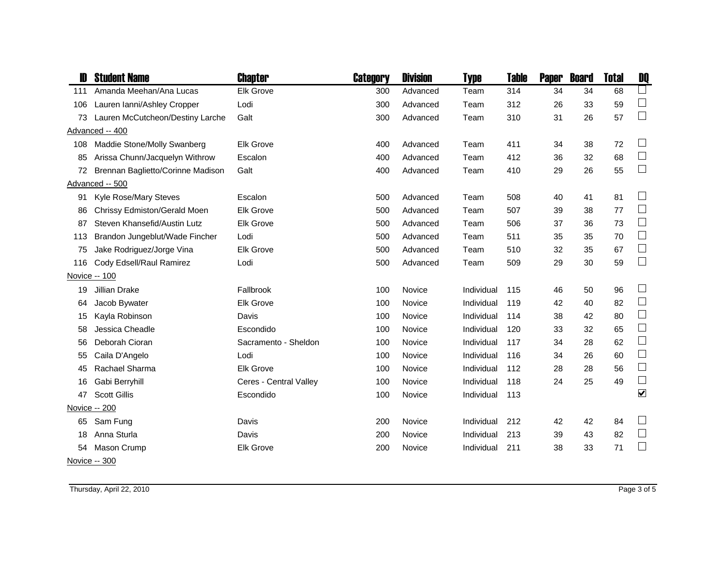|     | <b>Student Name</b>               | Chapter                | Category | <b>Division</b> | Type       | Table | <b>Paper</b> | <b>Board</b> | <b>Total</b> | DQ                   |
|-----|-----------------------------------|------------------------|----------|-----------------|------------|-------|--------------|--------------|--------------|----------------------|
| 111 | Amanda Meehan/Ana Lucas           | <b>Elk Grove</b>       | 300      | Advanced        | Team       | 314   | 34           | 34           | 68           | $\Box$               |
| 106 | Lauren Ianni/Ashley Cropper       | Lodi                   | 300      | Advanced        | Team       | 312   | 26           | 33           | 59           | $\Box$               |
| 73  | Lauren McCutcheon/Destiny Larche  | Galt                   | 300      | Advanced        | Team       | 310   | 31           | 26           | 57           | $\Box$               |
|     | Advanced -- 400                   |                        |          |                 |            |       |              |              |              |                      |
| 108 | Maddie Stone/Molly Swanberg       | <b>Elk Grove</b>       | 400      | Advanced        | Team       | 411   | 34           | 38           | 72           | $\Box$               |
| 85  | Arissa Chunn/Jacquelyn Withrow    | Escalon                | 400      | Advanced        | Team       | 412   | 36           | 32           | 68           | $\Box$               |
| 72  | Brennan Baglietto/Corinne Madison | Galt                   | 400      | Advanced        | Team       | 410   | 29           | 26           | 55           | $\Box$               |
|     | Advanced -- 500                   |                        |          |                 |            |       |              |              |              |                      |
| 91  | Kyle Rose/Mary Steves             | Escalon                | 500      | Advanced        | Team       | 508   | 40           | 41           | 81           | $\Box$               |
| 86  | Chrissy Edmiston/Gerald Moen      | <b>Elk Grove</b>       | 500      | Advanced        | Team       | 507   | 39           | 38           | 77           | $\Box$               |
| 87  | Steven Khansefid/Austin Lutz      | <b>Elk Grove</b>       | 500      | Advanced        | Team       | 506   | 37           | 36           | 73           | $\Box$               |
| 113 | Brandon Jungeblut/Wade Fincher    | Lodi                   | 500      | Advanced        | Team       | 511   | 35           | 35           | 70           | $\Box$               |
| 75  | Jake Rodriguez/Jorge Vina         | <b>Elk Grove</b>       | 500      | Advanced        | Team       | 510   | 32           | 35           | 67           | $\Box$               |
| 116 | Cody Edsell/Raul Ramirez          | Lodi                   | 500      | Advanced        | Team       | 509   | 29           | 30           | 59           | $\Box$               |
|     | Novice -- 100                     |                        |          |                 |            |       |              |              |              |                      |
| 19  | Jillian Drake                     | Fallbrook              | 100      | Novice          | Individual | 115   | 46           | 50           | 96           | $\Box$               |
| 64  | Jacob Bywater                     | <b>Elk Grove</b>       | 100      | Novice          | Individual | 119   | 42           | 40           | 82           | $\Box$               |
| 15  | Kayla Robinson                    | Davis                  | 100      | Novice          | Individual | 114   | 38           | 42           | 80           | $\Box$               |
| 58  | Jessica Cheadle                   | Escondido              | 100      | Novice          | Individual | 120   | 33           | 32           | 65           | $\Box$               |
| 56  | Deborah Cioran                    | Sacramento - Sheldon   | 100      | Novice          | Individual | 117   | 34           | 28           | 62           | $\Box$               |
| 55  | Caila D'Angelo                    | Lodi                   | 100      | Novice          | Individual | 116   | 34           | 26           | 60           | $\Box$               |
| 45  | Rachael Sharma                    | <b>Elk Grove</b>       | 100      | Novice          | Individual | 112   | 28           | 28           | 56           | $\mathbb{R}^n$       |
| 16  | Gabi Berryhill                    | Ceres - Central Valley | 100      | Novice          | Individual | 118   | 24           | 25           | 49           | $\Box$               |
| 47  | <b>Scott Gillis</b>               | Escondido              | 100      | Novice          | Individual | 113   |              |              |              | $\blacktriangledown$ |
|     | Novice -- 200                     |                        |          |                 |            |       |              |              |              |                      |
| 65  | Sam Fung                          | Davis                  | 200      | Novice          | Individual | 212   | 42           | 42           | 84           | $\Box$               |
| 18  | Anna Sturla                       | Davis                  | 200      | Novice          | Individual | 213   | 39           | 43           | 82           | $\Box$               |
| 54  | Mason Crump                       | <b>Elk Grove</b>       | 200      | Novice          | Individual | 211   | 38           | 33           | 71           | $\Box$               |
|     | Novice -- 300                     |                        |          |                 |            |       |              |              |              |                      |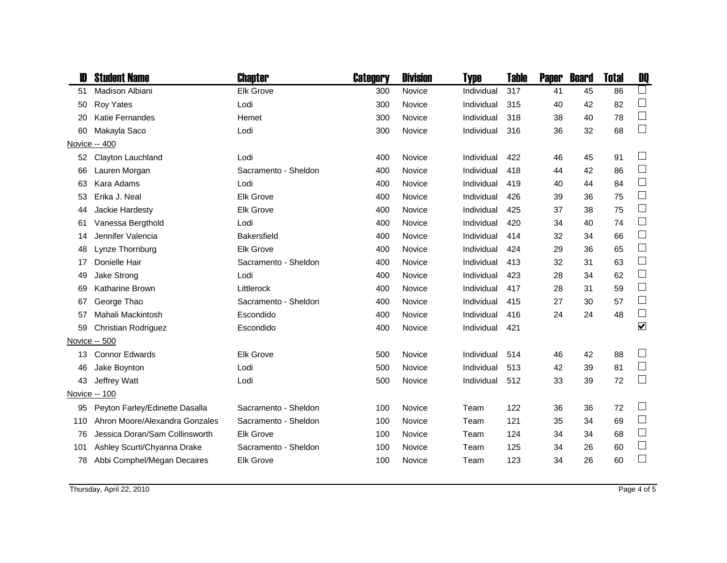| <b>Student Name</b>            | Chapter                                         | Category | <b>Division</b> | Type       | <b>Table</b> | <b>Paper</b> | <b>Board</b> | <b>Total</b> | DQ                   |
|--------------------------------|-------------------------------------------------|----------|-----------------|------------|--------------|--------------|--------------|--------------|----------------------|
| <b>Madison Albiani</b>         | <b>Elk Grove</b>                                | 300      | Novice          | Individual | 317          | 41           | 45           | 86           | $\Box$               |
| Roy Yates                      | Lodi                                            | 300      | Novice          | Individual | 315          | 40           | 42           | 82           |                      |
| <b>Katie Fernandes</b>         | <b>Hemet</b>                                    | 300      | Novice          | Individual | 318          | 38           | 40           | 78           | $\Box$               |
| Makayla Saco                   | Lodi                                            | 300      | Novice          | Individual | 316          | 36           | 32           | 68           | $\Box$               |
|                                |                                                 |          |                 |            |              |              |              |              |                      |
| Clayton Lauchland              | Lodi                                            | 400      | Novice          | Individual | 422          | 46           | 45           | 91           | $\Box$               |
| Lauren Morgan                  | Sacramento - Sheldon                            | 400      | Novice          | Individual | 418          | 44           | 42           | 86           | $\Box$               |
| Kara Adams                     | Lodi                                            | 400      | Novice          | Individual | 419          | 40           | 44           | 84           | $\Box$               |
| Erika J. Neal                  | <b>Elk Grove</b>                                | 400      | Novice          | Individual | 426          | 39           | 36           | 75           | $\Box$               |
| Jackie Hardesty                | <b>Elk Grove</b>                                | 400      | Novice          | Individual | 425          | 37           | 38           | 75           | $\Box$               |
| Vanessa Bergthold              | Lodi                                            | 400      | Novice          | Individual | 420          | 34           | 40           | 74           | $\Box$               |
| Jennifer Valencia              | <b>Bakersfield</b>                              | 400      | Novice          | Individual | 414          | 32           | 34           | 66           | $\Box$               |
| Lynze Thornburg                | <b>Elk Grove</b>                                | 400      | Novice          | Individual | 424          | 29           | 36           | 65           | $\Box$               |
| Donielle Hair                  | Sacramento - Sheldon                            | 400      | Novice          | Individual | 413          | 32           | 31           | 63           | $\Box$               |
| Jake Strong                    | Lodi                                            | 400      | Novice          | Individual | 423          | 28           | 34           | 62           | $\Box$               |
| Katharine Brown                | Littlerock                                      | 400      | Novice          | Individual | 417          | 28           | 31           | 59           | $\Box$               |
| George Thao                    | Sacramento - Sheldon                            | 400      | Novice          | Individual | 415          | 27           | 30           | 57           | $\Box$               |
| Mahali Mackintosh              | Escondido                                       | 400      | Novice          | Individual | 416          | 24           | 24           | 48           | $\Box$               |
| Christian Rodriguez            | Escondido                                       | 400      | Novice          | Individual | 421          |              |              |              | $\blacktriangledown$ |
|                                |                                                 |          |                 |            |              |              |              |              |                      |
| <b>Connor Edwards</b>          | <b>Elk Grove</b>                                | 500      | Novice          | Individual | 514          | 46           | 42           | 88           | $\Box$               |
| Jake Boynton                   | Lodi                                            | 500      | Novice          | Individual | 513          | 42           | 39           | 81           | $\Box$               |
| Jeffrey Watt                   | Lodi                                            | 500      | Novice          | Individual | 512          | 33           | 39           | 72           | $\Box$               |
|                                |                                                 |          |                 |            |              |              |              |              |                      |
| Peyton Farley/Edinette Dasalla | Sacramento - Sheldon                            | 100      | Novice          | Team       | 122          | 36           | 36           | 72           | $\Box$               |
| Ahron Moore/Alexandra Gonzales | Sacramento - Sheldon                            | 100      | Novice          | Team       | 121          | 35           | 34           | 69           | $\Box$               |
| Jessica Doran/Sam Collinsworth | <b>Elk Grove</b>                                | 100      | Novice          | Team       | 124          | 34           | 34           | 68           | $\Box$               |
| Ashley Scurti/Chyanna Drake    | Sacramento - Sheldon                            | 100      | Novice          | Team       | 125          | 34           | 26           | 60           | $\Box$               |
| Abbi Comphel/Megan Decaires    | <b>Elk Grove</b>                                | 100      | Novice          | Team       | 123          | 34           | 26           | 60           | $\Box$               |
| 44<br>14<br>13<br>78           | Novice -- 400<br>Novice -- 500<br>Novice -- 100 |          |                 |            |              |              |              |              |                      |